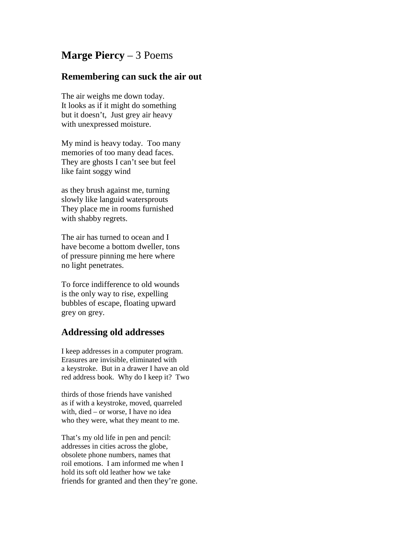## **Marge Piercy** – 3 Poems

## **Remembering can suck the air out**

The air weighs me down today. It looks as if it might do something but it doesn't, Just grey air heavy with unexpressed moisture.

My mind is heavy today. Too many memories of too many dead faces. They are ghosts I can't see but feel like faint soggy wind

as they brush against me, turning slowly like languid watersprouts They place me in rooms furnished with shabby regrets.

The air has turned to ocean and I have become a bottom dweller, tons of pressure pinning me here where no light penetrates.

To force indifference to old wounds is the only way to rise, expelling bubbles of escape, floating upward grey on grey.

## **Addressing old addresses**

I keep addresses in a computer program. Erasures are invisible, eliminated with a keystroke. But in a drawer I have an old red address book. Why do I keep it? Two

thirds of those friends have vanished as if with a keystroke, moved, quarreled with, died – or worse, I have no idea who they were, what they meant to me.

That's my old life in pen and pencil: addresses in cities across the globe, obsolete phone numbers, names that roil emotions. I am informed me when I hold its soft old leather how we take friends for granted and then they're gone.